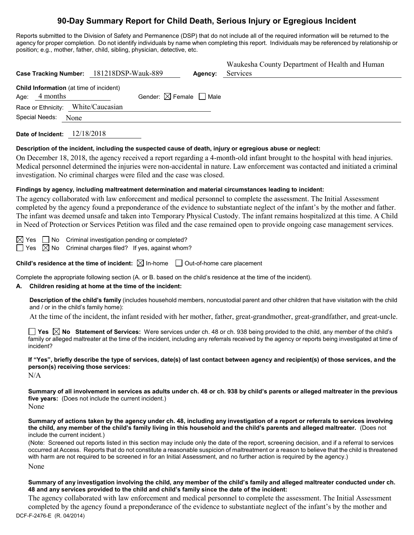# **90-Day Summary Report for Child Death, Serious Injury or Egregious Incident**

Reports submitted to the Division of Safety and Permanence (DSP) that do not include all of the required information will be returned to the agency for proper completion. Do not identify individuals by name when completing this report. Individuals may be referenced by relationship or position; e.g., mother, father, child, sibling, physician, detective, etc.

|                                                             | Case Tracking Number: 181218DSP-Wauk-889 | Agency: | Waukesha County Department of Health and Human<br>Services |
|-------------------------------------------------------------|------------------------------------------|---------|------------------------------------------------------------|
| Child Information (at time of incident)<br>4 months<br>Age: | Gender: $\boxtimes$ Female $\Box$ Male   |         |                                                            |
| Race or Ethnicity: White/Caucasian                          |                                          |         |                                                            |
| Special Needs: None                                         |                                          |         |                                                            |

**Date of Incident:** 12/18/2018

#### **Description of the incident, including the suspected cause of death, injury or egregious abuse or neglect:**

On December 18, 2018, the agency received a report regarding a 4-month-old infant brought to the hospital with head injuries. Medical personnel determined the injuries were non-accidental in nature. Law enforcement was contacted and initiated a criminal investigation. No criminal charges were filed and the case was closed.

#### **Findings by agency, including maltreatment determination and material circumstances leading to incident:**

The agency collaborated with law enforcement and medical personnel to complete the assessment. The Initial Assessment completed by the agency found a preponderance of the evidence to substantiate neglect of the infant's by the mother and father. The infant was deemed unsafe and taken into Temporary Physical Custody. The infant remains hospitalized at this time. A Child in Need of Protection or Services Petition was filed and the case remained open to provide ongoing case management services.

 $\boxtimes$  Yes  $\Box$  No Criminal investigation pending or completed?  $\Box$  Yes  $\boxtimes$  No Criminal charges filed? If yes, against whom?

**Child's residence at the time of incident:**  $\boxtimes$  In-home  $\Box$  Out-of-home care placement

Complete the appropriate following section (A. or B. based on the child's residence at the time of the incident).

# **A. Children residing at home at the time of the incident:**

**Description of the child's family** (includes household members, noncustodial parent and other children that have visitation with the child and / or in the child's family home):

At the time of the incident, the infant resided with her mother, father, great-grandmother, great-grandfather, and great-uncle.

**Yes No Statement of Services:** Were services under ch. 48 or ch. 938 being provided to the child, any member of the child's family or alleged maltreater at the time of the incident, including any referrals received by the agency or reports being investigated at time of incident?

**If "Yes", briefly describe the type of services, date(s) of last contact between agency and recipient(s) of those services, and the person(s) receiving those services:**

N/A

**Summary of all involvement in services as adults under ch. 48 or ch. 938 by child's parents or alleged maltreater in the previous five years:** (Does not include the current incident.)

None

**Summary of actions taken by the agency under ch. 48, including any investigation of a report or referrals to services involving the child, any member of the child's family living in this household and the child's parents and alleged maltreater.** (Does not include the current incident.)

(Note: Screened out reports listed in this section may include only the date of the report, screening decision, and if a referral to services occurred at Access. Reports that do not constitute a reasonable suspicion of maltreatment or a reason to believe that the child is threatened with harm are not required to be screened in for an Initial Assessment, and no further action is required by the agency.)

None

#### **Summary of any investigation involving the child, any member of the child's family and alleged maltreater conducted under ch. 48 and any services provided to the child and child's family since the date of the incident:**

DCF-F-2476-E (R. 04/2014) The agency collaborated with law enforcement and medical personnel to complete the assessment. The Initial Assessment completed by the agency found a preponderance of the evidence to substantiate neglect of the infant's by the mother and